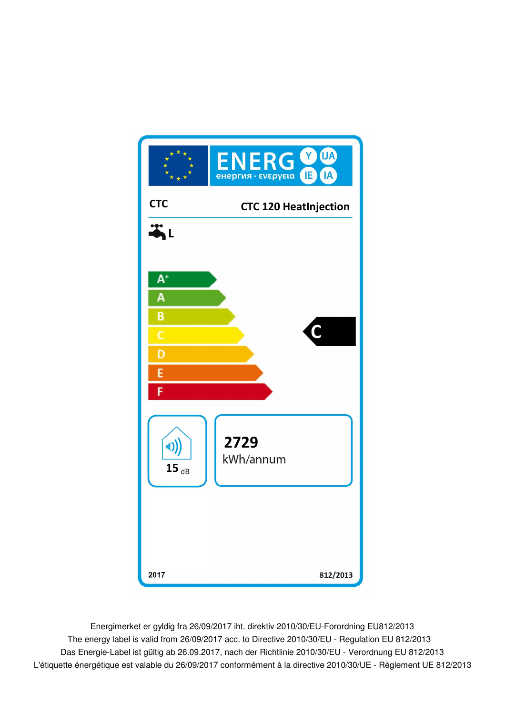

Energimerket er gyldig fra 26/09/2017 iht. direktiv 2010/30/EU-Forordning EU812/2013 Das Energie-Label ist gültig ab 26.09.2017, nach der Richtlinie 2010/30/EU - Verordnung EU 812/2013 The energy label is valid from 26/09/2017 acc. to Directive 2010/30/EU - Regulation EU 812/2013 L'étiquette énergétique est valable du 26/09/2017 conformément à la directive 2010/30/UE - Règlement UE 812/2013